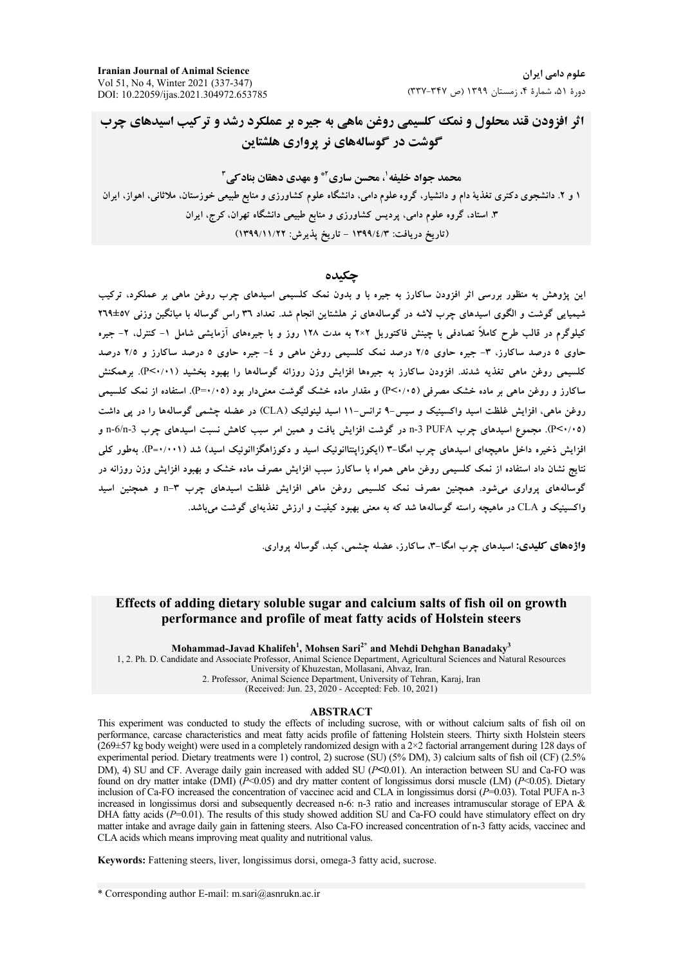**Iranian Journal of Animal Science** Vol 51, No 4, Winter 2021 (337-347) DOI: 10.22059/ijas.2021.304972.653785

علوم دامے, ایران دورة ۵۱، شمارة ۴، زمستان ۱۳۹۹ (ص ۳۳۷-۳۳۷)

اثر افزودن قند محلول و نمک کلسیمی روغن ماهی به جیره بر عملکرد رشد و تر کیب اسیدهای چرب گوشت در گوسالههای نر پرواری هلشتاین

محمد جواد خلیفه <sup>۱</sup>، محسن ساری<sup>4</sup> و مهدی دهقان بناد *کی*۳ ۱ و ۲. دانشجوی دکتری تغذیهٔ دام و دانشیار، گروه علوم دامی، دانشگاه علوم کشاورزی و منابع طبیعی خوزستان، ملاثانی، اهواز، ایران ۳. استاد، گروه علوم دامی، پردیس کشاورزی و منابع طبیعی دانشگاه تهران، کرج، ایران (تاریخ دریافت: ۱۳۹۹/٤/۳ – تاریخ پذیرش: ۱۳۹۹/۱۱/۲۲)

### حكىدە

این پژوهش به منظور بررسی اثر افزودن ساکارز به جیره با و بدون نمک کلسیمی اسیدهای چرب روغن ماهی بر عملکرد، ترکیب شیمپایی گوشت و الگوی اسیدهای چرب لاشه در گوسالههای نر هلشتاین انجام شد. تعداد ۳۹ راس گوساله با میانگین وزنی ۵۷±۲۹ کیلوگرم در قالب طرح کاملاً تصادفی با چینش فاکتوریل ۲×۲ به مدت ۱۲۸ روز و با جیرههای آزمایشی شامل ۱– کنترل، ۲– جیره حاوی ۵ درصد ساکارز، ۳- جیره حاوی ۲/۵ درصد نمک کلسیمی روغن ماهی و ٤- جیره حاوی ۵ درصد ساکارز و ۲/۵ درصد کلسیمی روغن ماهی تغذیه شدند. افزودن ساکارز به جیرهها افزایش وزن روزانه گوسالهها را بهبود بخشید (P<۰/۰۱). برهمکنش ساکارز و روغن ماهی بر ماده خشک مصرفی (۶۰/۰۵) و مقدار ماده خشک گوشت معنیدار بود (۴۰/۰۵). استفاده از نمک کلسیمی روغن ماهي، افزايش غلظت اسيد واكسينيك و سيس-۹ ترانس-۱۱ اسيد لينولئيک (CLA) در عضله چشمې گوسالهها را در يې داشت (P<۰/۰۵). مجموع اسیدهای چرب PUFA 3-n در گوشت افزایش یافت و همین امر سبب کاهش نسبت اسیدهای چرب n-6/n-3 افزایش ذخیره داخل ماهیچهای اسپدهای چرب امگا-۳ (ایکوزاینتاانوئیک اسپد و دکوزاهگزاانوئیک اسپد) شد (۰۰۱-P). بهطور کلی نتایج نشان داد استفاده از نمک کلسیمی روغن ماهی همراه با ساکارز سبب افزایش مصرف ماده خشک و بهبود افزایش وزن روزانه در گوسالههای پرواری می شود. همچنین مصرف نمک کلسیمی روغن ماهی افزایش غلظت اسیدهای چرب ۳-n و همچنین اسید واکسینیک و CLA در ماهیچه راسته گوسالهها شد که به معنی بهبود کیفیت و ارزش تغذیهای گوشت می باشد.

واژههای کلیدی: اسیدهای چرب امگا-۳، ساکارز، عضله چشمی، کبد، گوساله پرواری.

## Effects of adding dietary soluble sugar and calcium salts of fish oil on growth performance and profile of meat fatty acids of Holstein steers

Mohammad-Javad Khalifeh<sup>1</sup>, Mohsen Sari<sup>2\*</sup> and Mehdi Dehghan Banadaky<sup>3</sup> 1, 2. Ph. D. Candidate and Associate Professor, Animal Science Department, Agricultural Sciences and Natural Resources University of Khuzestan, Mollasani, Ahvaz, Iran. 2. Professor, Animal Science Department, University of Tehran, Karaj, Iran (Received: Jun. 23, 2020 - Accepted: Feb. 10, 2021)

### **ABSTRACT**

This experiment was conducted to study the effects of including sucrose, with or without calcium salts of fish oil on performance, carcase characteristics and meat fatty acids profile of fattening Holstein steers. Thirty sixth Holstein steers  $(269\pm57 \text{ kg}$  body weight) were used in a completely randomized design with a 2×2 factorial arrangement during 128 days of experimental period. Dietary treatments were 1) control, 2) sucrose (SU) (5% DM), 3) calcium salts of fish oil (CF) (2.5% DM), 4) SU and CF. Average daily gain increased with added SU (P<0.01). An interaction between SU and Ca-FO was found on dry matter intake (DMI) ( $P<0.05$ ) and dry matter content of longissimus dorsi muscle (LM) ( $P<0.05$ ). Dietary inclusion of Ca-FO increased the concentration of vaccinec acid and CLA in longissimus dorsi  $(P=0.03)$ . Total PUFA n-3 increased in longissimus dorsi and subsequently decreased n-6: n-3 ratio and increases intramuscular storage of EPA & DHA fatty acids  $(P=0.01)$ . The results of this study showed addition SU and Ca-FO could have stimulatory effect on dry matter intake and avrage daily gain in fattening steers. Also Ca-FO increased concentration of n-3 fatty acids, vaccinec and CLA acids which means improving meat quality and nutritional valus.

Keywords: Fattening steers, liver, longissimus dorsi, omega-3 fatty acid, sucrose.

\* Corresponding author E-mail: m.sari@asnrukn.ac.ir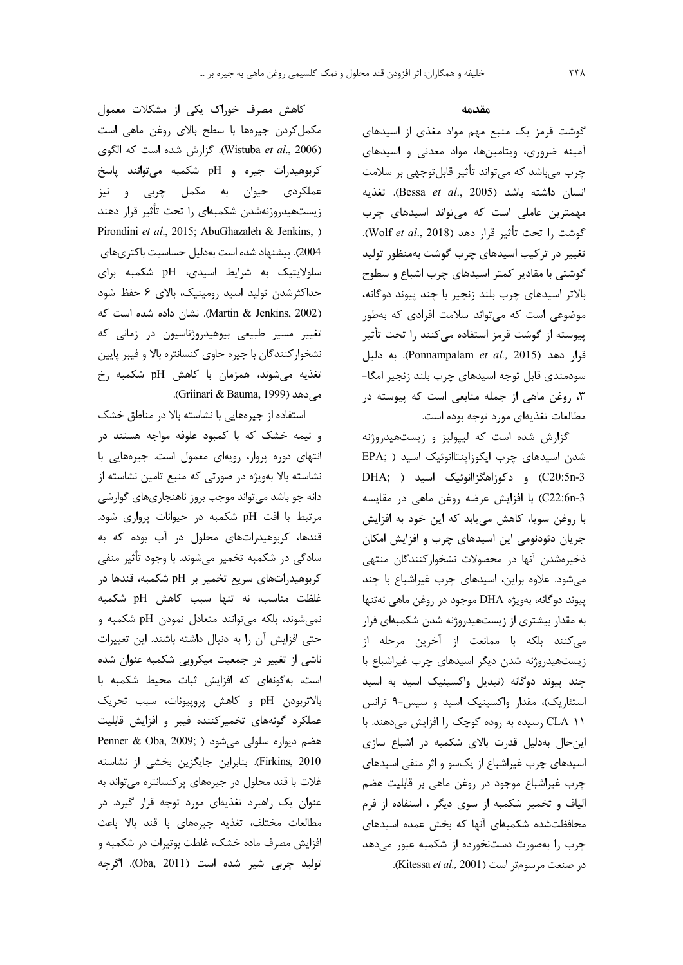کاهش مصرف خوراک یکی از مشکلات معمول مکمل کردن جیرهها با سطح بالای روغن ماهی است (Wistuba et al., 2006). كزارش شده است كه الكوى كربوهيدرات جيره و pH شكمبه مى توانند پاسخ عملکردی حیوان به مکمل چربی و نیز زیستهیدروژنهشدن شکمبهای را تحت تأثیر قرار دهند Pirondini et al., 2015; AbuGhazaleh & Jenkins, ) 2004). پیشنهاد شده است بهدلیل حساسیت باکتریهای سلولایتیک به شرایط اسیدی، pH شکمبه برای حداکثرشدن تولید اسید رومینیک، بالای ۶ حفظ شود (Martin & Jenkins, 2002). نشان داده شده است که تغییر مسیر طبیعی بیوهیدروژناسیون در زمانی که نشخوار كنندگان با جيره حاوى كنسانتره بالا و فيبر پايين تغذیه میشوند، همزمان با کاهش pH شکمبه رخ مي دهد (Griinari & Bauma, 1999).

استفاده از جیرههایی با نشاسته بالا در مناطق خشک و نیمه خشک که با کمبود علوفه مواجه هستند در انتهای دوره پروار، رویهای معمول است. جیرههایی با نشاسته بالا بهویژه در صورتی که منبع تامین نشاسته از دانه جو باشد می تواند موجب بروز ناهنجاریهای گوارشی مرتبط با افت pH شکمبه در حیوانات پرواری شود. قندها، کربوهیدراتهای محلول در آب بوده که به سادگی در شکمبه تخمیر میشوند. با وجود تأثیر منفی کربوهیدراتهای سریع تخمیر بر pH شکمبه، قندها در غلظت مناسب، نه تنها سبب كاهش pH شكمبه نمی شوند، بلکه می توانند متعادل نمودن pH شکمبه و حتى افزايش آن را به دنبال داشته باشند. اين تغييرات ناشی از تغییر در جمعیت میکروبی شکمبه عنوان شده است، به گونهای که افزایش ثبات محیط شکمبه با بالاتربودن pH وكاهش پروپيونات، سبب تحريك عملکرد گونههای تخمیرکننده فیبر و افزایش قابلیت Penner & Oba, 2009; میشود Penner & Oba, 2009; ) Firkins, 2010). بنابراين جايگزين بخشي از نشاسته غلات با قند محلول در جیرههای پرکنسانتره می تواند به عنوان یک راهبرد تغذیهای مورد توجه قرار گیرد. در مطالعات مختلف، تغذيه جيرههاى با قند بالا باعث افزایش مصرف ماده خشک، غلظت بوتیرات در شکمبه و توليد چربي شير شده است (Oba, 2011). اگرچه

مقدمه

گوشت قرمز یک منبع مهم مواد مغذی از اسیدهای آمینه ضروری، ویتامینها، مواد معدنی و اسیدهای چرب میباشد که میتواند تأثیر قابلتوجهی بر سلامت انسان داشته باشد (Bessa et al., 2005). تغذیه مهمترین عاملی است که می تواند اسیدهای چرب گوشت ,ا تحت تأثیر قرار دهد (Wolf et al., 2018). تغییر در ترکیب اسیدهای چرب گوشت بهمنظور تولید گوشتی با مقادیر کمتر اسیدهای چرب اشباع و سطوح بالاتر اسیدهای چرب بلند زنجیر با چند پیوند دوگانه، موضوعی است که میتواند سلامت افرادی که بهطور پیوسته از گوشت قرمز استفاده می کنند را تحت تأثیر قرار دهد (Ponnampalam et al., 2015). به دليل سودمندی قابل توجه اسیدهای چرب بلند زنجیر امگا-۳، روغن ماهی از جمله منابعی است که پیوسته در مطالعات تغذيهاي مورد توجه بوده است.

گزارش شده است که لیپولیز و زیستهیدروژنه شدن اسیدهای چرب ایکوزاینتاانوئیک اسید ( ,EPA C20:5n-3) و دکوزاهگزاانوئیک اسید ( DHA; C22:6n-3) با افزایش عرضه روغن ماهی در مقایسه با روغن سویا، کاهش مییابد که این خود به افزایش جریان دئودنومی این اسیدهای چرب و افزایش امکان ذخیرهشدن آنها در محصولات نشخوارکنندگان منتهی می شود. علاوه براین، اسیدهای چرب غیراشباع با چند پیوند دوگانه، بهویژه DHA موجود در روغن ماهی نهتنها به مقدار بیشتری از زیستهیدروژنه شدن شکمبهای فرار مى كنند بلكه با ممانعت از آخرين مرحله از زیستهیدروژنه شدن دیگر اسیدهای چرب غیراشباع با چند پیوند دوگانه (تبدیل واکسینیک اسید به اسید استئاریک)، مقدار واکسینیک اسید و سیس-۹ ترانس CLA 11 رسیده به روده کوچک را افزایش می دهند. با این حال بهدلیل قدرت بالای شکمبه در اشباع سازی اسیدهای چرب غیراشباع از یکسو و اثر منفی اسیدهای چرب غیراشباع موجود در روغن ماهی بر قابلیت هضم الیاف و تخمیر شکمبه از سوی دیگر ، استفاده از فرم محافظتشده شكمبهاى آنها كه بخش عمده اسيدهاى چرب را بهصورت دستنخورده از شکمبه عبور میدهد در صنعت مرسومتر است (Kitessa et al., 2001).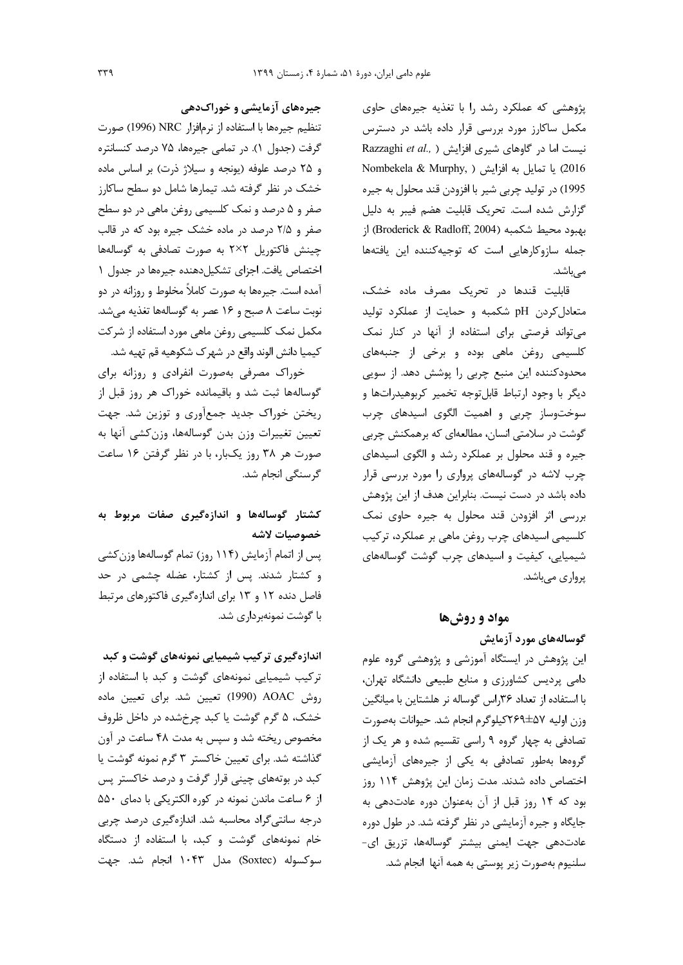پژوهشی که عملکرد رشد را با تغذیه جیرههای حاوی مکمل ساکارز مورد بررسی قرار داده باشد در دسترس Razzaghi et al., ) نیست اما در گاوهای شیری افزایش ( 2016) يا تمايل به افزايش ( Nombekela & Murphy, 1995) در توليد چربي شير با افزودن قند محلول به جيره گزارش شده است. تحریک قابلیت هضم فیبر به دلیل بهبود محيط شكمبه (Broderick & Radloff, 2004) از جمله سازوکارهایی است که توجیهکننده این یافتهها مے باشد.

قابلیت قندها در تحریک مصرف ماده خشک، متعادل کردن pH شکمبه و حمایت از عملکرد تولید می تواند فرصتی برای استفاده از آنها در کنار نمک کلسیمی روغن ماهی بوده و برخی از جنبههای محدودکننده این منبع چربی را پوشش دهد. از سویی ديگر با وجود ارتباط قابلتوجه تخمير كربوهيدراتها و سوختوساز چربی و اهمیت الگوی اسیدهای چرب گوشت در سلامتی انسان، مطالعهای که برهمکنش چربی جیره و قند محلول بر عملکرد رشد و الگوی اسیدهای چرب لاشه در گوسالههای پرواری را مورد بررسی قرار داده باشد در دست نیست. بنابراین هدف از این پژوهش بررسی اثر افزودن قند محلول به جیره حاوی نمک کلسیمی اسیدهای چرب روغن ماهی بر عملکرد، ترکیب شیمیایی، کیفیت و اسیدهای چرب گوشت گوسالههای یرواری مے باشد.

### مواد و روشها

گوسالەھای مورد آزمایش این پژوهش در ایستگاه آموزشی و پژوهشی گروه علوم دامی پردیس کشاورزی و منابع طبیعی دانشگاه تهران، با استفاده از تعداد ۳۶راس گوساله نر هلشتاین با میانگین وزن اوليه ٧ه±٢۶٩كيلوگرم انجام شد. حيوانات بهصورت تصادفی به چهار گروه ۹ راسی تقسیم شده و هر یک از گروهها بەطور تصادفی به یکی از جیرههای آزمایشی اختصاص داده شدند. مدت زمان این پژوهش ۱۱۴ روز بود که ۱۴ روز قبل از آن بهعنوان دوره عادتدهی به جایگاه و جیره آزمایشی در نظر گرفته شد. در طول دوره عادتدهی جهت ایمنی بیشتر گوسالهها، تزریق ای-سلنيوم بەصورت زير يوستى بە ھمە آنها انجام شد.

# جیرههای آزمایشی و خوراکدهی

تنظيم جيرهها با استفاده از نرمافزار NRC (1996) صورت گرفت (جدول ١). در تمامي جيرهها، ٧۵ درصد كنسانتره و ۲۵ درصد علوفه (یونجه و سیلاژ ذرت) بر اساس ماده خشک در نظر گرفته شد. تیمارها شامل دو سطح ساکارز صفر و ۵ درصد و نمک کلسیمی روغن ماهی در دو سطح صفر و ۲/۵ درصد در ماده خشک جیره بود که در قالب چینش فاکتوریل ۲×۲ به صورت تصادفی به گوسالهها اختصاص یافت. اجزای تشکیل دهنده جیرهها در جدول ۱ آمده است. جیرهها به صورت کاملاً مخلوط و روزانه در دو نوبت ساعت ٨ صبح و ١۶ عصر به گوسالهها تغذيه مى شد. مکمل نمک کلسیمی روغن ماهی مورد استفاده از شرکت كيميا دانش الوند واقع در شهرك شكوهيه قم تهيه شد.

خوراک مصرفی بهصورت انفرادی و روزانه برای گوسالهها ثبت شد و باقیمانده خوراک هر روز قبل از ریختن خوراک جدید جمعآوری و توزین شد. جهت تعیین تغییرات وزن بدن گوسالهها، وزن کشی آنها به صورت هر ۳۸ روز یکبار، با در نظر گرفتن ۱۶ ساعت گرسنگے انجام شد.

# کشتار گوسالهها و اندازهگیری صفات مربوط به خصوصيات لاشه

پس از اتمام آزمایش (۱۱۴ روز) تمام گوسالهها وزن کشی و کشتار شدند. پس از کشتار، عضله چشمی در حد فاصل دنده ۱۲ و ۱۳ برای اندازهگیری فاکتورهای مرتبط با گوشت نمونهبرداری شد.

اندازهگیری ترکیب شیمیایی نمونههای گوشت و کبد ترکیب شیمیایی نمونههای گوشت و کبد با استفاده از روش AOAC (1990) تعیین شد. برای تعیین ماده خشک، ۵ گرم گوشت یا کبد چرخشده در داخل ظروف مخصوص ریخته شد و سپس به مدت ۴۸ ساعت در آون گذاشته شد. برای تعیین خاکستر ۳ گرم نمونه گوشت یا کبد در بوتههای چینی قرار گرفت و درصد خاکستر پس از ۶ ساعت ماندن نمونه در کوره الکتریکی با دمای ۵۵۰ درجه سانتیگراد محاسبه شد. اندازهگیری درصد چربی خام نمونههای گوشت و کبد، با استفاده از دستگاه سوكسوله (Soxtec) مدل ۱۰۴۳ انجام شد. جهت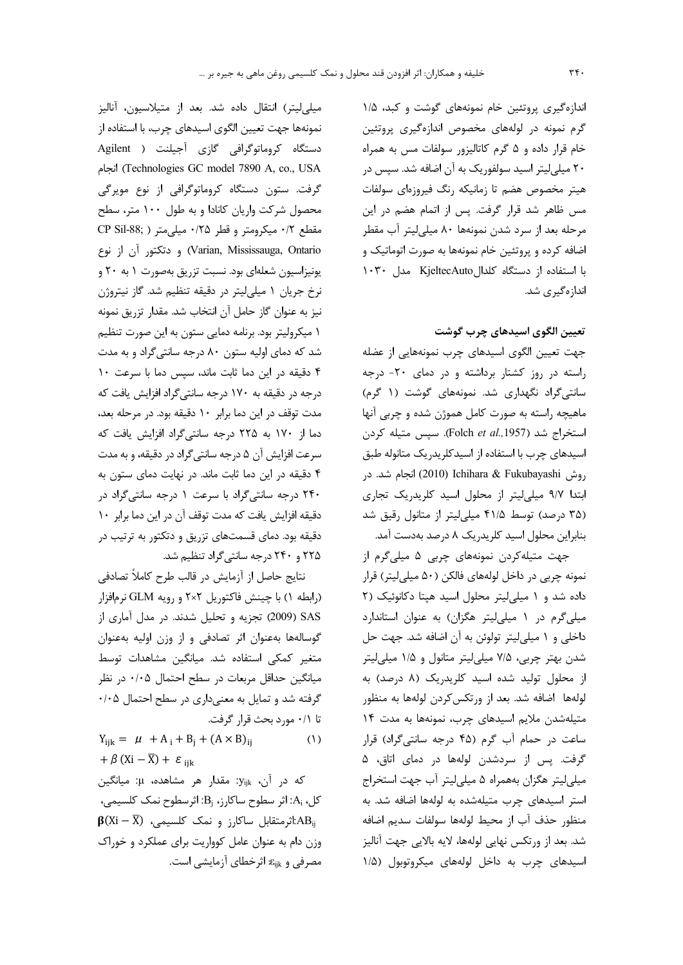اندازهگیری پروتئین خام نمونههای گوشت و کبد، ۱/۵ گرم نمونه در لولههای مخصوص اندازهگیری پروتئین خام قرار داده و ۵ گرم کاتالیزور سولفات مس به همراه ۲۰ میلی لیتر اسید سولفوریک به آن اضافه شد. سپس در هیتر مخصوص هضم تا زمانیکه رنگ فیروزهای سولفات مس ظاهر شد قرار گرفت. پس از اتمام هضم در این مرحله بعد از سرد شدن نمونهها ۸۰ میلیلیتر آب مقطر اضافه کرده و پروتئین خام نمونهها به صورت اتوماتیک و با استفاده از دستگاه کلدالKjeltecAuto مدل ١٠٣٠ اندازەگىرى شد.

# تعیین الگوی اسیدهای چرب گوشت

جهت تعیین الگوی اسیدهای چرب نمونههایی از عضله راسته در روز کشتار برداشته و در دمای ۲۰- درجه سانتیگراد نگهداری شد. نمونههای گوشت (۱ گرم) ماهیچه راسته به صورت کامل هموژن شده و چربی آنها استخراج شد (Folch et al., 1957). سيس متيله كردن اسیدهای چرب با استفاده از اسیدکلریدریک متانوله طبق روش Ichihara & Fukubayashi انجام شد. در ابتدا ۹/۷ میلی لیتر از محلول اسید کلریدریک تجاری (۳۵ درصد) توسط ۴۱/۵ میلی لیتر از متانول رقیق شد بنابراین محلول اسید کلریدریک ۸ درصد بهدست آمد.

جهت متیلهکردن نمونههای چربی ۵ میلیگرم از نمونه چربی در داخل لولههای فالکن (۵۰ میلی لیتر) قرار داده شد و ١ ميلي ليتر محلول اسيد هيتا دكانوئيك (٢ میلیگرم در ۱ میلی لیتر هگزان) به عنوان استاندارد داخلی و ۱ میلی لیتر تولوئن به آن اضافه شد. جهت حل شدن بهتر چربی، ۷/۵ میلی لیتر متانول و ۱/۵ میلی لیتر از محلول تولید شده اسید کلریدریک (۸ درصد) به لولهها اضافه شد. بعد از ورتکس کردن لولهها به منظور متیلهشدن ملایم اسیدهای چرب، نمونهها به مدت ١۴ ساعت در حمام آب گرم (۴۵ درجه سانتی گراد) قرار گرفت. پس از سردشدن لولهها در دمای اتاق، ۵ میلی لیتر هگزان بههمراه ۵ میلی لیتر آب جهت استخراج استر اسیدهای چرب متیلهشده به لولهها اضافه شد. به منظور حذف آب از محيط لولهها سولفات سديم اضافه شد. بعد از ورتكس نهايي لولهها، لايه بالايي جهت آناليز اسیدهای چرب به داخل لولههای میکروتوبول (۱/۵

ميلي ليتر) انتقال داده شد. بعد از متيلاسيون، آناليز نمونهها جهت تعيين الگوى اسيدهاى چرب، با استفاده از دستگاه کروماتوگرافی گازی آجیلنت ( Agilent ichnologies GC model 7890 A, co., USA) انجام گرفت. ستون دستگاه کروماتوگرافی از نوع مویرگی محصول شرکت واریان کانادا و به طول ۱۰۰ متر، سطح مقطع ٠/٢ ميكرومتر و قطر ٠/٢٥ ميلي متر ( CP Sil-88; و دتكتور آن از نوع (Varian, Mississauga, Ontario یونیزاسیون شعلهای بود. نسبت تزریق بهصورت ۱ به ۲۰ و نرخ جریان ۱ میلی لیتر در دقیقه تنظیم شد. گاز نیتروژن نيز به عنوان گاز حامل آن انتخاب شد. مقدار تزريق نمونه ١ ميكروليتر بود. برنامه دمايي ستون به اين صورت تنظيم شد که دمای اولیه ستون ۸۰ درجه سانتیگراد و به مدت ۴ دقیقه در این دما ثابت ماند، سیس دما با سرعت ۱۰ درجه در دقیقه به ۱۷۰ درجه سانتیگراد افزایش یافت که مدت توقف در این دما برابر ١٠ دقیقه بود. در مرحله بعد، دما از ۱۷۰ به ۲۲۵ درجه سانتیگراد افزایش یافت که سرعت افزایش آن ۵ درجه سانتی گراد در دقیقه، و به مدت ۴ دقیقه در این دما ثابت ماند. در نهایت دمای ستون به ۲۴۰ درجه سانتی گراد با سرعت ۱ درجه سانتی گراد در دقيقه افزايش يافت كه مدت توقف آن در اين دما برابر ١٠ دقیقه بود. دمای قسمتهای تزریق و دتکتور به ترتیب در ۲۲۵ و ۲۴۰ درجه سانتیگراد تنظیم شد.

نتايج حاصل از آزمايش در قالب طرح كاملاً تصادفي (رابطه ۱) با چینش فاکتوریل ۲×۲ و رویه GLM نرمافزار SAS (2009) تجزیه و تحلیل شدند. در مدل آماری از گوسالهها بهعنوان اثر تصادفی و از وزن اولیه بهعنوان متغیر کمکی استفاده شد. میانگین مشاهدات توسط میانگین حداقل مربعات در سطح احتمال ۰/۰۵ در نظر گرفته شد و تمایل به معنیداری در سطح احتمال ۰/۰۵ تا ٠/١ مورد بحث قرار گرفت.

 $Y_{iik} = \mu + A_i + B_i + (A \times B)_{ii}$  $(1)$  $+\beta$  (Xi –  $\overline{X}$ ) +  $\varepsilon$ <sub>iik</sub>

که در آن، y<sub>ijk</sub>: مقدار هر مشاهده، µ: میانگین  $A_i$ ، كل، A<sub>i</sub>: اثر سطوح ساكارز، B<sub>i</sub>: اثرسطوح نمك كلسيمي  $\beta(Xi - \overline{X})$  : اثر متقابل ساكارز و نمك كلسيمى):  $AB_{ii}$ وزن دام به عنوان عامل کوواریت برای عملکرد و خوراک مصرفی و  $\varepsilon_{\rm iik}$  اثرخطای آزمایشی است.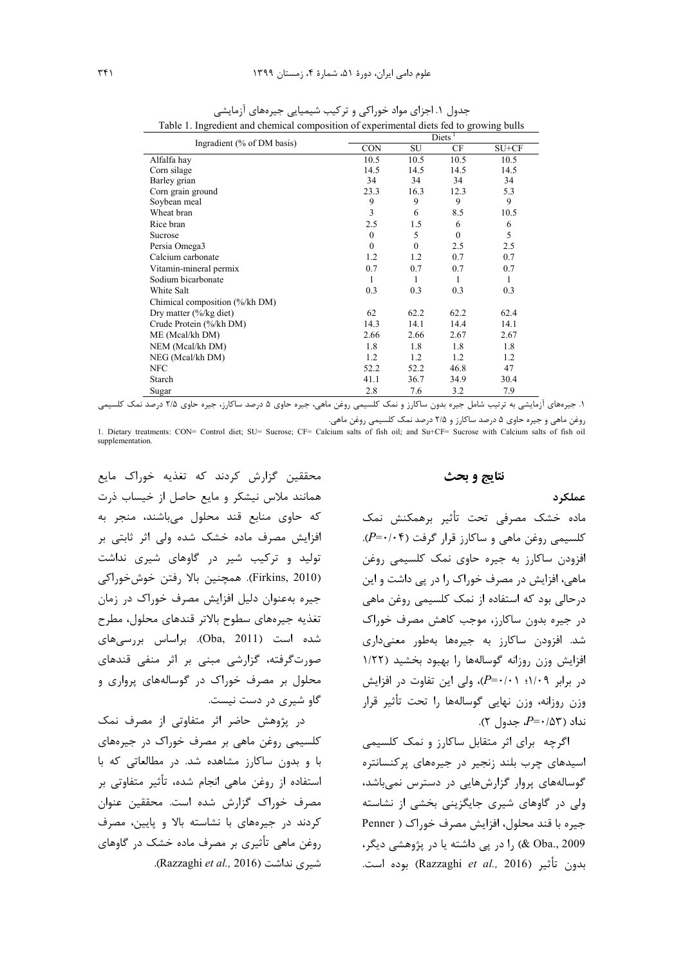|                                   |            | Diets <sup>1</sup> |              |         |  |  |  |
|-----------------------------------|------------|--------------------|--------------|---------|--|--|--|
| Ingradient (% of DM basis)        | <b>CON</b> | SU                 | CF           | $SU+CF$ |  |  |  |
| Alfalfa hay                       | 10.5       | 10.5               | 10.5         | 10.5    |  |  |  |
| Corn silage                       | 14.5       | 14.5               | 14.5         | 14.5    |  |  |  |
| Barley grian                      | 34         | 34                 | 34           | 34      |  |  |  |
| Corn grain ground                 | 23.3       | 16.3               | 12.3         | 5.3     |  |  |  |
| Soybean meal                      | 9          | 9                  | 9            | 9       |  |  |  |
| Wheat bran                        | 3          | 6                  | 8.5          | 10.5    |  |  |  |
| Rice bran                         | 2.5        | 1.5                | 6            | 6       |  |  |  |
| Sucrose                           | $\Omega$   | 5                  | $\mathbf{0}$ | 5       |  |  |  |
| Persia Omega3                     | $\Omega$   | $\theta$           | 2.5          | 2.5     |  |  |  |
| Calcium carbonate                 | 1.2        | 1.2                | 0.7          | 0.7     |  |  |  |
| Vitamin-mineral permix            | 0.7        | 0.7                | 0.7          | 0.7     |  |  |  |
| Sodium bicarbonate                | 1          | 1                  | 1            | 1       |  |  |  |
| White Salt                        | 0.3        | 0.3                | 0.3          | 0.3     |  |  |  |
| Chimical composition (%/kh DM)    |            |                    |              |         |  |  |  |
| Dry matter $\frac{0}{6}$ kg diet) | 62         | 62.2               | 62.2         | 62.4    |  |  |  |
| Crude Protein (%/kh DM)           | 14.3       | 14.1               | 14.4         | 14.1    |  |  |  |
| ME (Meal/kh DM)                   | 2.66       | 2.66               | 2.67         | 2.67    |  |  |  |
| NEM (Mcal/kh DM)                  | 1.8        | 1.8                | 1.8          | 1.8     |  |  |  |
| NEG (Meal/kh DM)                  | 1.2        | 1.2                | 1.2          | 1.2     |  |  |  |
| <b>NFC</b>                        | 52.2       | 52.2               | 46.8         | 47      |  |  |  |
| Starch                            | 41.1       | 36.7               | 34.9         | 30.4    |  |  |  |
| Sugar                             | 2.8        | 7.6                | 3.2          | 7.9     |  |  |  |

جدول ۱. اجزای مواد خوراکی و ترکیب شیمیایی جیرههای آزمایشی Table 1. Ingredient and chemical composition of experimental diets fed to growing bulls

١. جیرەهای آزمایشی به ترتیب شامل جیره بدون ساکارز و نمک کلسیمی روغن ماهی، جیره حاوی ۵ درصد ساکارز، جیره حاوی ۲۱۵ درصد نمک کلسیمی

روغن ماهی و جیره حاوی ۵ درصد ساکارز و ۲/۵ درصد نمک کلسیمی روغن ماهی. 1. Dietary treatments: CON= Control diet; SU= Sucrose; CF= Calcium salts of fish oil; and Su+CF= Sucrose with Calcium salts of fish oil supplementation

نتايج و بحث

### عملک د

ماده خشک مصرفی تحت تأثیر برهمکنش نمک  $(P = \cdot | \cdot \mathfrak{f})$  کلسیمی روغن ماهی و ساکارز قرار گرفت افزودن ساكارز به جيره حاوي نمک کلسيمي روغن ماهی، افزایش در مصرف خوراک را در پی داشت و این درحالی بود که استفاده از نمک کلسیمی روغن ماهی در جيره بدون ساكارز، موجب كاهش مصرف خوراك شد. افزودن ساکارز به جیرهها بهطور معنیداری افزایش وزن روزانه گوسالهها را بهبود بخشید (١/٢٢  $(P = \cdot \wedge \cdot \cdot \wedge \cdot P = \cdot \wedge \cdot P = \cdot \wedge \cdot \cdot \cdot P = \cdot \wedge \cdot \cdot \cdot P$ در برابر ۱/۰۹؛ وزن روزانه، وزن نهایی گوسالهها را تحت تأثیر قرار  $P = \cdot \Delta \mathcal{F}$ نداد (۵۳ھ/۰= $P = \cdot \Delta$  جدول

اگرچه برای اثر متقابل ساکارز و نمک کلسیمی اسیدهای چرب بلند زنجیر در جیرههای پرکنسانتره گوسالەھای پروار گزارش ھایی در دسترس نمی باشد، ولی در گاوهای شیری جایگزینی بخشی از نشاسته جیره با قند محلول، افزایش مصرف خوراک ( Penner 2009 (& Oba., 2009) را در پی داشته یا در پژوهشی دیگر، بدون تأثير (Razzaghi *et al.,* 2016) بوده است.

محققین گزارش کردند که تغذیه خوراک مایع همانند ملاس نیشکر و مایع حاصل از خیساب ذرت که حاوی منابع قند محلول می باشند، منجر به افزایش مصرف ماده خشک شده ولی اثر ثابتی بر تولید و ترکیب شیر در گاوهای شیری نداشت (Firkins, 2010). همچنین بالا رفتن خوشخوراکی جیره بهعنوان دلیل افزایش مصرف خوراک در زمان تغذيه جيرههاي سطوح بالاتر قندهاي محلول، مطرح شده است (Oba, 2011). براساس بررسیهای صورتگرفته، گزارشی مبنی بر اثر منفی قندهای محلول بر مصرف خوراک در گوسالههای پرواری و گاو شیری در دست نیست.

در پژوهش حاضر اثر متفاوتی از مصرف نمک کلسیمی روغن ماهی بر مصرف خوراک در جیرههای با و بدون ساکارز مشاهده شد. در مطالعاتی که با استفاده از روغن ماهی انجام شده، تأثیر متفاوتی بر مصرف خوراک گزارش شده است. محققین عنوان کردند در جیرههای با نشاسته بالا و پایین، مصرف روغن ماهي تأثيري بر مصرف ماده خشک در گاوهاي شيري نداشت (Razzaghi et al., 2016).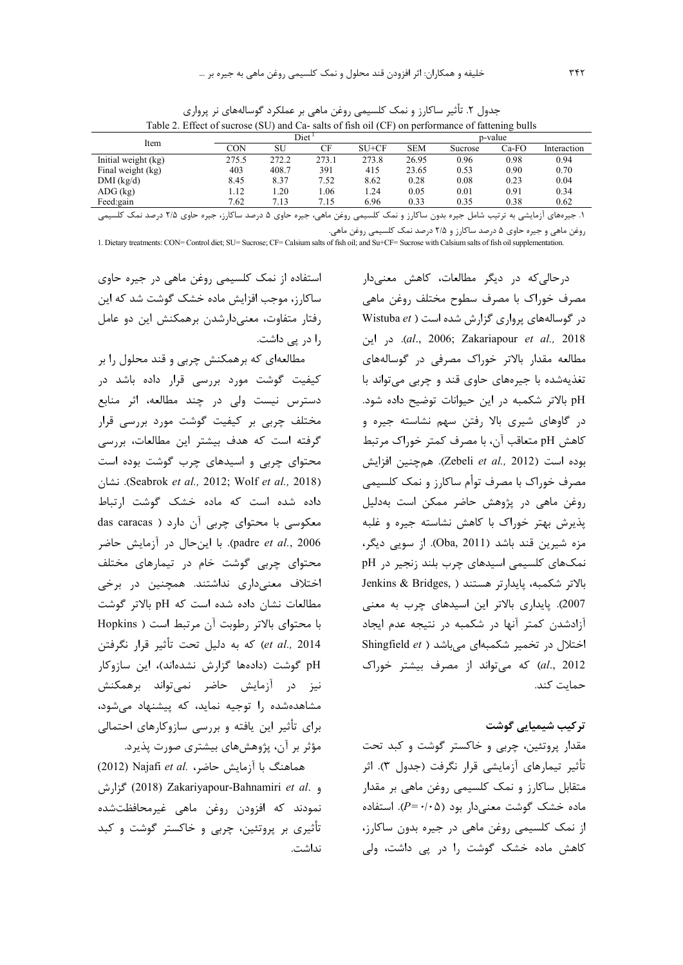| Item                | Diet ' |       |       |         | p-value    |         |       |             |
|---------------------|--------|-------|-------|---------|------------|---------|-------|-------------|
|                     | CON    | SU    | CF    | $SU+CF$ | <b>SEM</b> | Sucrose | Ca-FO | Interaction |
| Initial weight (kg) | 275.5  | 272.2 | 273.1 | 273.8   | 26.95      | 0.96    | 0.98  | 0.94        |
| Final weight (kg)   | 403    | 408.7 | 391   | 415     | 23.65      | 0.53    | 0.90  | 0.70        |
| $DMI$ (kg/d)        | 8.45   | 8.37  | 7.52  | 8.62    | 0.28       | 0.08    | 0.23  | 0.04        |
| $ADG$ (kg)          | 1.12   | .20   | .06   | 1.24    | 0.05       | 0.01    | 0.91  | 0.34        |
| Feed:gain           | 7.62   | 7.13  | 7.15  | 6.96    | 0.33       | 0.35    | 0.38  | 0.62        |
|                     |        |       |       |         |            |         |       |             |

جدول ۲. تأثیر ساکارز و نمک کلسیمی روغن ماهی بر عملکرد گوسالههای نر پرواری Table 2. Effect of sucrose (SU) and Ca- salts of fish oil (CF) on performance of fattening bulls

۱. جیرههای آزمایشی به ترتیب شامل جیره بدون ساکارز و نمک کلسیمی روغن ماهی، جیره حاوی ۵ درصد ساکارز، جیره حاوی ۲۱۵ درصد نمک کلسیمی

روغن ماهی و جیره حاوی ۵ درصد ساکارز و ۲/۵ درصد نمک کلسیمی روغن ماهی.

1. Dietary treatments: CON= Control diet; SU= Sucrose; CF= Calsium salts of fish oil; and Su+CF= Sucrose with Calsium salts of fish oil supplementation.

استفاده از نمک کلسیمی روغن ماهی در جیره حاوی ساکارز، موجب افزایش ماده خشک گوشت شد که این رفتار متفاوت، معنى دارشدن برهمكنش اين دو عامل را در پی داشت.

مطالعهای که برهمکنش چربی و قند محلول را بر کیفیت گوشت مورد بررسی قرار داده باشد در دسترس نیست ولی در چند مطالعه، اثر منابع مختلف چربی بر کیفیت گوشت مورد بررسی قرار گرفته است که هدف بیشتر این مطالعات، بررسی محتوای چربی و اسیدهای چرب گوشت بوده است (Seabrok et al., 2012; Wolf et al., 2018). نشان داده شده است که ماده خشک گوشت ارتباط das caracas) (محتوای چربی آن دارد ( das caracas padre et al., 2006). با اینحال در آزمایش حاضر محتوای چربی گوشت خام در تیمارهای مختلف اختلاف معنیداری نداشتند. همچنین در برخی مطالعات نشان داده شده است که pH بالاتر گوشت با محتواى بالاتر رطوبت آن مرتبط است ( Hopkins et al., 2014) كه به دليل تحت تأثير قرار نگرفتن pH گوشت (دادهها گزارش نشدهاند)، این سازوکار نیز در آزمایش حاضر نمیتواند برهمکنش مشاهدهشده را توجیه نماید، که پیشنهاد می شود، برای تأثیر این یافته و بررسی سازوکارهای احتمالی مؤثر بر آن، پژوهشهای بیشتری صورت پذیرد.

(2012) Najafi et al. محاضر، اله السور (2012) و .2018) Zakariyapour-Bahnamiri et al. كزارش نمودند که افزودن روغن ماهی غیرمحافظتشده تأثیری بر پروتئین، چربی و خاکستر گوشت و کبد نداشت درحال*ی که* در دیگر مطالعات، کاهش معنی دار مصرف خوراک با مصرف سطوح مختلف روغن ماهي در گوسالههای پرواری گزارش شده است ( Wistuba et .cd., 2006; Zakariapour et al., 2018). در این مطالعه مقدار بالاتر خوراک مصرفی در گوسالههای تغذیهشده با جیرههای حاوی قند و چربی میتواند با pH بالاتر شكمبه در اين حيوانات توضيح داده شود. در گاوهای شیری بالا رفتن سهم نشاسته جیره و كاهش pH متعاقب آن، با مصرف كمتر خوراك مرتبط بوده است (Zebeli et al., 2012). هم چنین افزایش مصرف خوراک با مصرف توأم ساکارز و نمک کلسیمی روغن ماهی در پژوهش حاضر ممکن است بهدلیل یذیرش بهتر خوراک با کاهش نشاسته جیره و غلبه مزه شیرین قند باشد (Oba, 2011). از سویی دیگر، نمکهای کلسیمی اسیدهای چرب بلند زنجیر در pH Jenkins & Bridges, ) بالاتر شكمبه، يايدارتر هستند 2007). پایداری بالاتر این اسیدهای چرب به معنی آزادشدن کمتر آنها در شکمبه در نتیجه عدم ایجاد Shingfield et ) اختلال در تخمیر شکمبهای میباشد al., 2012) که می تواند از مصرف بیشتر خوراک حمات کند.

### تر کیب شیمیایی گوشت

مقدار پروتئین، چربی و خاکستر گوشت و کبد تحت تأثير تيمارهاي أزمايشي قرار نگرفت (جدول ٣). اثر متقابل ساکارز و نمک کلسیمی روغن ماهی بر مقدار ماده خشک گوشت معنیدار بود (۰۵+=P). استفاده از نمک کلسیمی روغن ماهی در جیره بدون ساکارز، کاهش ماده خشک گوشت را در یی داشت، ولی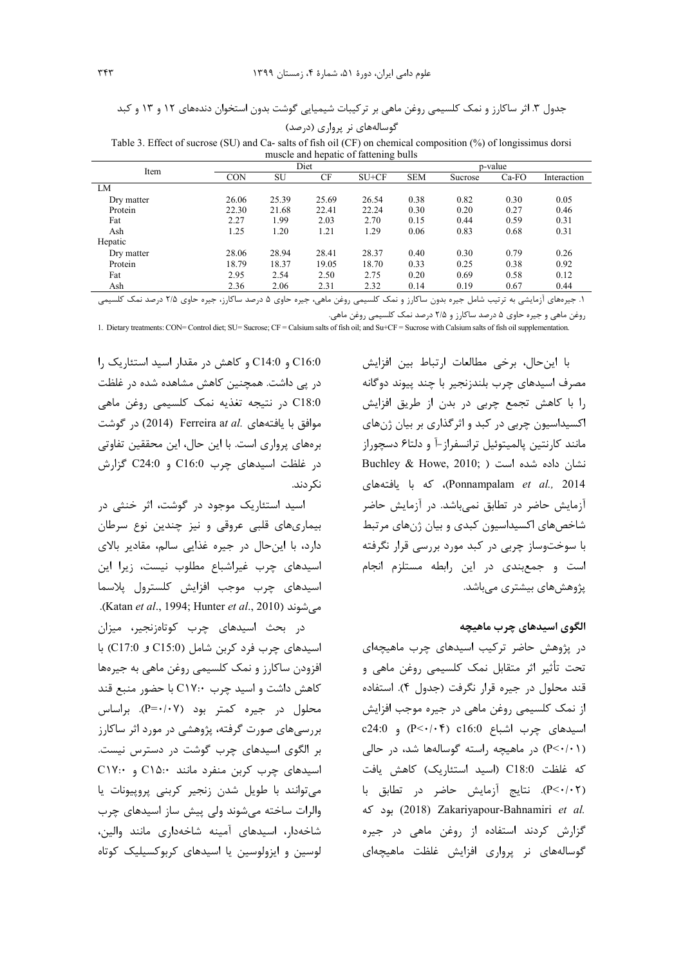| گوسالەھای نر پرواری (درصد) |  |  |
|----------------------------|--|--|
|----------------------------|--|--|

Table 3. Effect of sucrose (SU) and Ca- salts of fish oil (CF) on chemical composition (%) of longissimus dorsi muscle and hepatic of fattening bulls

| Item       | Diet       |       |       |         | p-value    |         |         |             |
|------------|------------|-------|-------|---------|------------|---------|---------|-------------|
|            | <b>CON</b> | SU    | CF    | $SU+CF$ | <b>SEM</b> | Sucrose | $Ca-FO$ | Interaction |
| LM         |            |       |       |         |            |         |         |             |
| Dry matter | 26.06      | 25.39 | 25.69 | 26.54   | 0.38       | 0.82    | 0.30    | 0.05        |
| Protein    | 22.30      | 21.68 | 22.41 | 22.24   | 0.30       | 0.20    | 0.27    | 0.46        |
| Fat        | 2.27       | 1.99  | 2.03  | 2.70    | 0.15       | 0.44    | 0.59    | 0.31        |
| Ash        | 1.25       | 1.20  | 1.21  | 1.29    | 0.06       | 0.83    | 0.68    | 0.31        |
| Hepatic    |            |       |       |         |            |         |         |             |
| Dry matter | 28.06      | 28.94 | 28.41 | 28.37   | 0.40       | 0.30    | 0.79    | 0.26        |
| Protein    | 18.79      | 18.37 | 19.05 | 18.70   | 0.33       | 0.25    | 0.38    | 0.92        |
| Fat        | 2.95       | 2.54  | 2.50  | 2.75    | 0.20       | 0.69    | 0.58    | 0.12        |
| Ash        | 2.36       | 2.06  | 2.31  | 2.32    | 0.14       | 0.19    | 0.67    | 0.44        |
|            |            |       |       |         |            |         |         |             |

۱. جیرههای آزمایشی به ترتیب شامل جیره بدون ساکارز و نمک کلسیمی روغن ماهی، جیره حاوی ۵ درصد ساکارز، جیره حاوی ۲۱۵ درصد نمک کلسیمی روغن ماهی و جیره حاوی ۵ درصد ساکارز و ۲/۵ درصد نمک کلسیمی روغن ماهی.

1. Dietary treatments: CON= Control diet; SU= Sucrose; CF = Calsium salts of fish oil; and Su+CF = Sucrose with Calsium salts of fish oil supplementation.

با این حال، برخی مطالعات ارتباط بین افزایش مصرف اسيدهاى چرب بلندزنجير با چند پيوند دوگانه را با كاهش تجمع چربى در بدن از طريق افزايش اکسیداسیون چربی در کبد و اثرگذاری بر بیان ژنهای مانند کارنتین پالمیتوئیل ترانسفراز-آ و دلتاع دسچوراز Buchley & Howe, 2010; ) نشان داده شده است Ponnampalam et al., 2014)، كه با يافتههاى آزمایش حاضر در تطابق نمیباشد. در آزمایش حاضر شاخصهای اکسیداسیون کبدی و بیان ژنهای مرتبط با سوختوساز چربی در کبد مورد بررسی قرار نگرفته است و جمع بندی در این رابطه مستلزم انجام پژوهشهای بیشتری می باشد.

الگوی اسیدهای چرب ماهیچه

در پژوهش حاضر ترکیب اسیدهای چرب ماهیچهای تحت تأثير اثر متقابل نمک کلسيمي روغن ماهي و قند محلول در جيره قرار نگرفت (جدول ۴). استفاده از نمک کلسیمی روغن ماهی در جیره موجب افزایش اسيدهاى چرب اشباع c16:0 (P < · / · ۴) و c24:0 (P<۰/۰۱) در ماهیچه راسته گوسالهها شد، در حالی كه غلظت C18:0 (اسيد استئاريك) كاهش يافت (P<٠/٠٢). نتايج آزمايش حاضر در تطابق با .2018) Zakariyapour-Bahnamiri et al. گزارش کردند استفاده از روغن ماهی در جیره گوسالەھای نړ پرواړی افزایش غلظت ماهیچەای

C16:0 و C14:0 و كاهش در مقدار اسيد استئاريك را در یی داشت. همچنین کاهش مشاهده شده در غلظت C18:0 در نتیجه تغذیه نمک کلسیمی روغن ماهی در گوشت (2014) Ferreira at al. موافق با یافتههای برههای پرواری است. با این حال، این محققین تفاوتی در غلظت اسیدهای چرب C16:0 و C24:0 گزارش نک دند.

اسید استئاریک موجود در گوشت، اثر خنثی در بیماریهای قلبی عروقی و نیز چندین نوع سرطان دارد، با این حال در جیره غذایی سالم، مقادیر بالای اسیدهای چرب غیراشباع مطلوب نیست، زیرا این اسیدهای چرب موجب افزایش کلسترول پلاسما می شوند (Katan et al., 1994; Hunter et al., 2010).

در بحث اسیدهای چرب کوتاهزنجیر، میزان اسیدهای چرب فرد کربن شامل (C15:0 و C17:0) با افزودن ساكارز و نمك كلسيمي روغن ماهي به جيرهها کاهش داشت و اسید چرب ۲۱۷:۰ با حضور منبع قند محلول در جیره کمتر بود (P=٠/٠٧). براساس بررسی های صورت گرفته، پژوهشی در مورد اثر ساکارز بر الگوی اسیدهای چرب گوشت در دسترس نیست. اسیدهای چرب کربن منفرد مانند C۱۵:۰ و C۱۷:۰ می توانند با طویل شدن زنجیر کربنی پروپیونات پا والرات ساخته میشوند ولی پیش ساز اسیدهای چرب شاخهدار، اسیدهای آمینه شاخهداری مانند والین، لوسین و ایزولوسین یا اسیدهای کربوکسیلیک کوتاه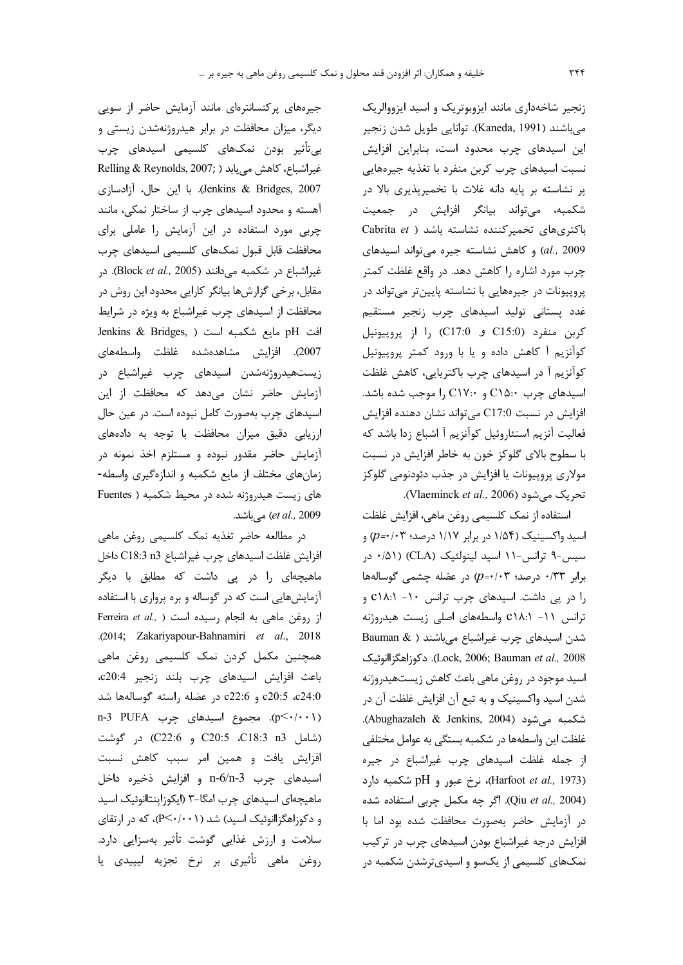زنجیر شاخهداری مانند ایزوبوتریک و اسید ایزووالریک میباشند (Kaneda, 1991). توانایی طویل شدن زنجیر این اسیدهای چرب محدود است، بنابراین افزایش نسبت اسیدهای چرب کربن منفرد با تغذیه جیرههایی پر نشاسته بر پایه دانه غلات با تخمیرپذیری بالا در شکمبه، میتواند بیانگر افزایش در جمعیت Cabrita et ) باکتریهای تخمیر کننده نشاسته باشد al., 2009) و كاهش نشاسته جيره مي تواند اسيدهاى چرب مورد اشاره را كاهش دهد. در واقع غلظت كمتر پروپیونات در جیرههایی با نشاسته پایینتر میتواند در غدد پستانی تولید اسیدهای چرب زنجیر مستقیم کربن منفرد (C15:0 و C17:0) را از پروپیونیل کوآنزیم آ کاهش داده و یا با ورود کمتر پروپیونیل كوآنزيم آ در اسيدهاي چرب باكتريايي، كاهش غلظت اسیدهای چرب C۱۵:۰ و C۱۷:۰ را موجب شده باشد. افزایش در نسبت C17:0 میتواند نشان دهنده افزایش فعالیت آنزیم استئاروئیل کوآنزیم آ اشباع زدا باشد که با سطوح بالای گلوکز خون به خاطر افزایش در نسبت مولاري پروپيونات يا افزايش در جذب دئودنومي گلوكز تحريک مي شود (Vlaeminck et al., 2006).

استفاده از نمک کلسیمی روغن ماهی، افزایش غلظت اسید واکسینیک (۱/۵۴ در برابر ۱/۱۷ درصد؛ p=۰/۰۳) و سیس-۹ ترانس-۱۱ اسید لینولئیک (CLA) (۵۱/۰ در برابر ۰/۳۳ درصد؛ ۰/۰۳ در عضله چشمی گوسالهها را در پی داشت. اسیدهای چرب ترانس ١٠- c١٨:١ ترانس 11- C١٨:١ واسطههای اصلی زیست هیدروژنه شدن اسیدهای چرب غیراشباع میباشند ( & Bauman Lock, 2006; Bauman et al., 2008). دكوزاهگزاانوئيک اسید موجود در روغن ماهی باعث کاهش زیستهیدروژنه شدن اسید واکسینیک و به تبع آن افزایش غلظت آن در شكمبه مى شود (Abughazaleh & Jenkins, 2004). غلظت این واسطهها در شکمبه بستگی به عوامل مختلفی از جمله غلظت اسیدهای چرب غیراشباع در جیره (Harfoot et al., 1973)، نرخ عبور و pH شكمبه دارد (Qiu et al., 2004). اگر چه مکمل چربی استفاده شده در آزمایش حاضر بهصورت محافظت شده بود اما با افزایش درجه غیراشباع بودن اسیدهای چرب در ترکیب نمکهای کلسیمی از یکسو و اسیدیترشدن شکمبه در

جیرههای پرکنسانترهای مانند آزمایش حاضر از سویی دیگر، میزان محافظت در برابر هیدروژنهشدن زیستی و بی تأثیر بودن نمکـهای کلسیمی اسیدهای چرب Relling & Reynolds, 2007; ) غيراشباع، كاهش مي يابد Jenkins & Bridges, 2007). با این حال، آزادسازی آهسته و محدود اسیدهای چرب از ساختار نمکی، مانند چربی مورد استفاده در این آزمایش را عاملی برای محافظت قابل قبول نمكهاى كلسيمى اسيدهاى چرب غيراشباع در شكمبه مي دانند (Block et al., 2005). در مقابل، برخی گزارشها بیانگر کارایی محدود این روش در محافظت از اسیدهای چرب غیراشباع به ویژه در شرایط Jenkins & Bridges, ) افت pH مايع شكمبه است 2007). افزایش مشاهدهشده غلظت واسطههای زیستهیدروژنهشدن اسیدهای چرب غیراشباع در آزمایش حاضر نشان میدهد که محافظت از این اسیدهای چرب بهصورت کامل نبوده است. در عین حال ارزیایی دقیق میزان محافظت با توجه به دادههای آزمایش حاضر مقدور نبوده و مستلزم اخذ نمونه در زمانهای مختلف از مایع شکمبه و اندازهگیری واسطه-های زیست هیدروژنه شده در محیط شکمبه ( Fuentes *et al.,* 2009) می باشد.

در مطالعه حاضر تغذیه نمک کلسیمی روغن ماهی افزايش غلظت اسيدهاي چرب غيراشباع 3n3 C18:3 داخل ماهیچهای را در پی داشت که مطابق با دیگر آزمایشهایی است که در گوساله و بره پرواری با استفاده Ferreira et al., ) از روغن ماهی به انجام رسیده است .(2014; Zakariyapour-Bahnamiri et al., 2018 همچنین مکمل کردن نمک کلسیمی روغن ماهی باعث افزایش اسیدهای چرب بلند زنجیر c20:4، c20:5 ، c24:0 و c22:6 در عضله راسته گوسالهها شد (p →/···). مجموع اسیدهای چرب n-3 PUFA (شامل C20:5 ،C18:3 n3 و C22:6) در گوشت افزایش یافت و همین امر سبب کاهش نسبت اسیدهای چرب n-6/n-3 و افزایش ذخیره داخل ماهیچهای اسیدهای چرب امگا-۳ (ایکوزاپنتاانوئیک اسید و دکوزاهگزاانوئیک اسید) شد (P≤۰/۰۰۱)، که در ارتقای سلامت و ارزش غذایی گوشت تأثیر بهسزایی دارد. روغن ماهي تأثيري بر نرخ تجزيه ليپيدي يا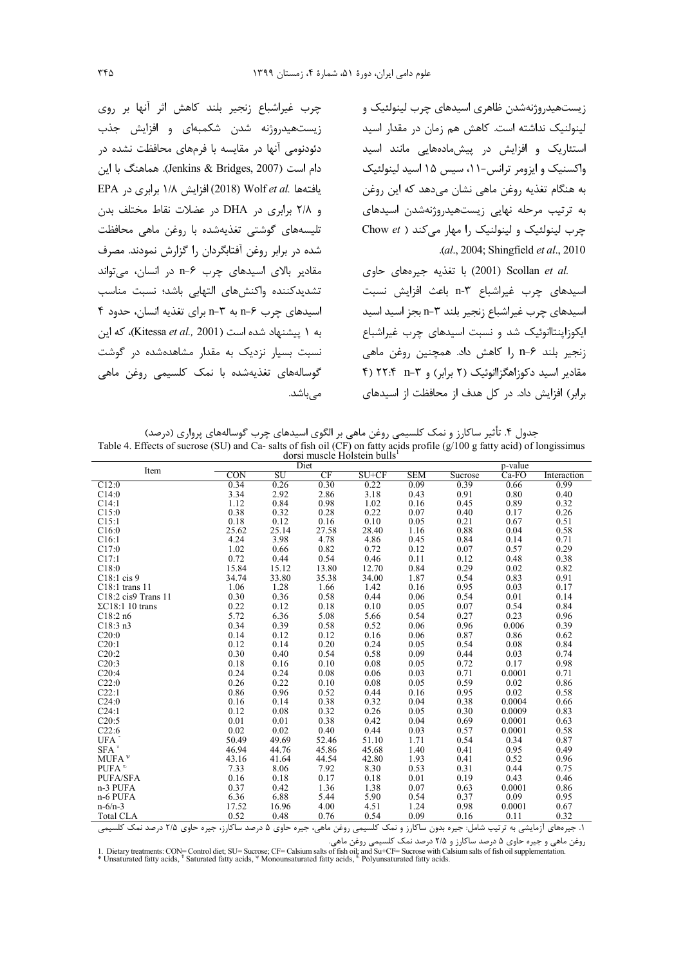زیستهیدروژنهشدن ظاهری اسیدهای چرب لینولئیک و لینولنیک نداشته است. کاهش هم زمان در مقدار اسید استئاریک و افزایش در پیش،ادههایی مانند اسید واکسنیک و ایزومر ترانس-۱۱، سیس ۱۵ اسید لینولئیک به هنگام تغذيه روغن ماهي نشان مي دهد كه اين روغن به ترتیب مرحله نهایی زیستهیدروژنهشدن اسیدهای چرب لینولئیک و لینولنیک را مهار می کند ( Chow et .(al., 2004; Shingfield et al., 2010

.2001) Scollan *et al*) يا تغذيه جيرههاي حاوي اسيدهاى چرب غيراشباع n-٣ باعث افزايش نسبت اسیدهای چرب غیراشباع زنجیر بلند ۳−n بجز اسید اسید ایکوزاینتاانوئیک شد و نسبت اسیدهای چرب غیراشباع زنجير بلند n−۶ ,ا كاهش داد. همچنين روغن ماهي مقادیر اسید دکوزاهگزاانوئیک (۲ برابر) و ۳-۲ ۴/ ۲۲:۴ (۴ برابر) افزایش داد. در کل هدف از محافظت از اسیدهای

چرب غیراشباع زنجیر بلند کاهش اثر آنها بر روی زیستهیدروژنه شدن شکمبهای و افزایش جذب دئودنومی آنها در مقایسه با فرمهای محافظت نشده در دام است (Jenkins & Bridges, 2007). هماهنگ با این EPA افزایش ١/٨ برابری در EPA (2018) EPA و ۲/۸ برابری در DHA در عضلات نقاط مختلف بدن تلیسههای گوشتی تغذیهشده با روغن ماهی محافظت شده در برابر روغن آفتابگردان را گزارش نمودند. مصرف مقادیر بالای اسیدهای چرب ۶−n در انسان، می تواند تشديدكننده واكنش هاى التهابى باشد؛ نسبت مناسب اسیدهای چرب ۶-n به ۳-n برای تغذیه انسان، حدود ۴ به ١ ييشنهاد شده است (Kitessa et al., 2001)، كه اين نسبت بسیار نزدیک به مقدار مشاهدهشده در گوشت گوسالەھای تغذیەشدە با نمک کلسیمی روغن ماھی میباشد.

جدول ۴. تأثیر ساکارز و نمک کلسیمی روغن ماهی بر الگوی اسیدهای چرب گوسالههای پرواری (درصد)

| dorsi muscle Holstein bulls <sup>1</sup> |       |       |       |         |            |         |         |             |
|------------------------------------------|-------|-------|-------|---------|------------|---------|---------|-------------|
| Item                                     | Diet  |       |       |         | p-value    |         |         |             |
|                                          | CON   | SU    | CF    | $SU+CF$ | <b>SEM</b> | Sucrose | $Ca-FO$ | Interaction |
| C12:0                                    | 0.34  | 0.26  | 0.30  | 0.22    | 0.09       | 0.39    | 0.66    | 0.99        |
| C14:0                                    | 3.34  | 2.92  | 2.86  | 3.18    | 0.43       | 0.91    | 0.80    | 0.40        |
| C14:1                                    | 1.12  | 0.84  | 0.98  | 1.02    | 0.16       | 0.45    | 0.89    | 0.32        |
| C15:0                                    | 0.38  | 0.32  | 0.28  | 0.22    | 0.07       | 0.40    | 0.17    | 0.26        |
| C15:1                                    | 0.18  | 0.12  | 0.16  | 0.10    | 0.05       | 0.21    | 0.67    | 0.51        |
| C16:0                                    | 25.62 | 25.14 | 27.58 | 28.40   | 1.16       | 0.88    | 0.04    | 0.58        |
| C16:1                                    | 4.24  | 3.98  | 4.78  | 4.86    | 0.45       | 0.84    | 0.14    | 0.71        |
| C17:0                                    | 1.02  | 0.66  | 0.82  | 0.72    | 0.12       | 0.07    | 0.57    | 0.29        |
| C17:1                                    | 0.72  | 0.44  | 0.54  | 0.46    | 0.11       | 0.12    | 0.48    | 0.38        |
| C18:0                                    | 15.84 | 15.12 | 13.80 | 12.70   | 0.84       | 0.29    | 0.02    | 0.82        |
| $C18:1$ cis 9                            | 34.74 | 33.80 | 35.38 | 34.00   | 1.87       | 0.54    | 0.83    | 0.91        |
| $C18:1$ trans 11                         | 1.06  | 1.28  | 1.66  | 1.42    | 0.16       | 0.95    | 0.03    | 0.17        |
| $C18:2$ cis9 Trans 11                    | 0.30  | 0.36  | 0.58  | 0.44    | 0.06       | 0.54    | 0.01    | 0.14        |
| $\Sigma$ C18:1 10 trans                  | 0.22  | 0.12  | 0.18  | 0.10    | 0.05       | 0.07    | 0.54    | 0.84        |
| C18:2n6                                  | 5.72  | 6.36  | 5.08  | 5.66    | 0.54       | 0.27    | 0.23    | 0.96        |
| C18:3n3                                  | 0.34  | 0.39  | 0.58  | 0.52    | 0.06       | 0.96    | 0.006   | 0.39        |
| C20:0                                    | 0.14  | 0.12  | 0.12  | 0.16    | 0.06       | 0.87    | 0.86    | 0.62        |
| C20:1                                    | 0.12  | 0.14  | 0.20  | 0.24    | 0.05       | 0.54    | 0.08    | 0.84        |
| C20:2                                    | 0.30  | 0.40  | 0.54  | 0.58    | 0.09       | 0.44    | 0.03    | 0.74        |
| C20:3                                    | 0.18  | 0.16  | 0.10  | 0.08    | 0.05       | 0.72    | 0.17    | 0.98        |
| C20:4                                    | 0.24  | 0.24  | 0.08  | 0.06    | 0.03       | 0.71    | 0.0001  | 0.71        |
| C22:0                                    | 0.26  | 0.22  | 0.10  | 0.08    | 0.05       | 0.59    | 0.02    | 0.86        |
| C22:1                                    | 0.86  | 0.96  | 0.52  | 0.44    | 0.16       | 0.95    | 0.02    | 0.58        |
| C24:0                                    | 0.16  | 0.14  | 0.38  | 0.32    | 0.04       | 0.38    | 0.0004  | 0.66        |
| C24:1                                    | 0.12  | 0.08  | 0.32  | 0.26    | 0.05       | 0.30    | 0.0009  | 0.83        |
| C20:5                                    | 0.01  | 0.01  | 0.38  | 0.42    | 0.04       | 0.69    | 0.0001  | 0.63        |
| C22:6                                    | 0.02  | 0.02  | 0.40  | 0.44    | 0.03       | 0.57    | 0.0001  | 0.58        |
| UFA <sup>*</sup>                         | 50.49 | 49.69 | 52.46 | 51.10   | 1.71       | 0.54    | 0.34    | 0.87        |
| $SFA$ <sup>T</sup>                       | 46.94 | 44.76 | 45.86 | 45.68   | 1.40       | 0.41    | 0.95    | 0.49        |
| MUFA $\rm{W}$                            | 43.16 | 41.64 | 44.54 | 42.80   | 1.93       | 0.41    | 0.52    | 0.96        |
| $PIFA^t$                                 | 7.33  | 8.06  | 7.92  | 8.30    | 0.53       | 0.31    | 0.44    | 0.75        |
| <b>PUFA/SFA</b>                          | 0.16  | 0.18  | 0.17  | 0.18    | 0.01       | 0.19    | 0.43    | 0.46        |
| n-3 PUFA                                 | 0.37  | 0.42  | 1.36  | 1.38    | 0.07       | 0.63    | 0.0001  | 0.86        |
| n-6 PUFA                                 | 6.36  | 6.88  | 5.44  | 5.90    | 0.54       | 0.37    | 0.09    | 0.95        |
| $n - 6/n - 3$                            | 17.52 | 16.96 | 4.00  | 4.51    | 1.24       | 0.98    | 0.0001  | 0.67        |
| <b>Total CLA</b>                         | 0.52  | 0.48  | 0.76  | 0.54    | 0.09       | 0.16    | 0.11    | 0.32        |

Table 4. Effects of sucrose (SU) and Ca- salts of fish oil (CF) on fatty acids profile (g/100 g fatty acid) of longissimus

١. جیرەهای آزمایشی به ترتیب شامل: جیره بدون ساکارز و نمک کلسیمی روغن ماهی، جیره حاوی ۵ درصد ساکارز، جیره حاوی ۲۱۵ درصد نمک کلسیمی

روغن ماهی و جیره حاوی ۵ درصد ساکارز و ۲/۵ درصد نمک کلسیمی روغن ماهی.<br>روغن ماهی و جیره حاوی ۵ درصد ساکارز و ۲/۵ درصد نمک کلسیمی روغن ماهی (I. Dietary treatments: CON= Control diet; SU= Sucrose; CF= Calsium salts of fish oi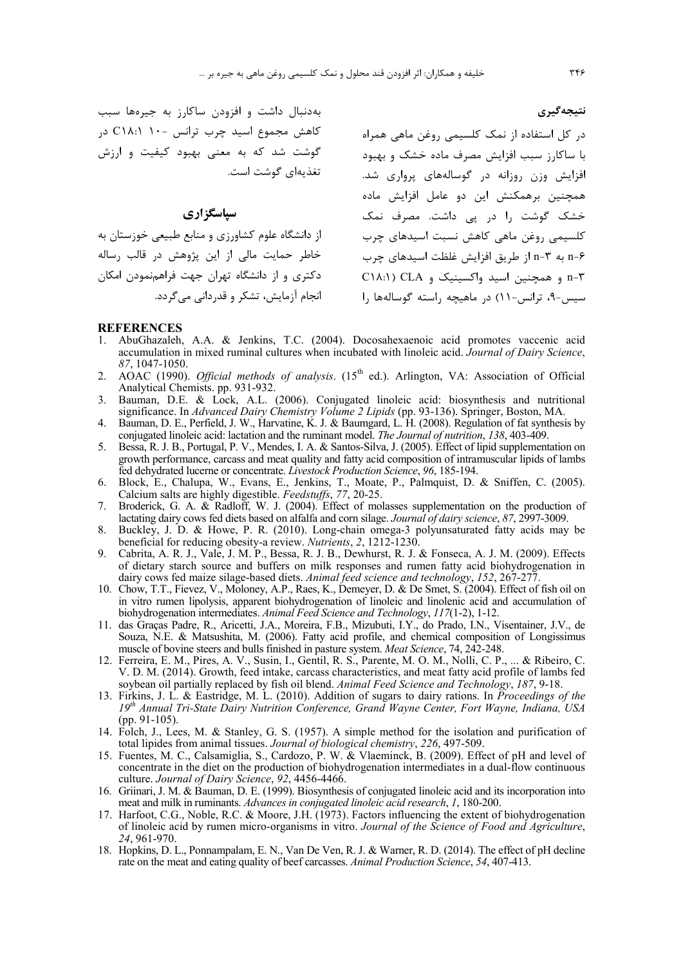به دنبال داشت و افزودن ساكارز به جيرهها سبب کاهش مجموع اسید چرب ترانس -۱۰ C۱۸:۱ در گوشت شد که به معنی بهبود کیفیت و ارزش تغذيهاي گوشت است.

### **سپاسگزاری**

از دانشگاه علوم کشاورزی و منابع طبیعی خوزستان به خاطر حمایت مالی از این پژوهش در قالب رساله دکتری و از دانشگاه تهران جهت فراهمنمودن امکان انحام آزمایش، تشکر و قدردانی می گردد.

در کل استفاده از نمک کلسیمی روغن ماهی همراه با ساكارز سبب افزايش مصرف ماده خشك و بهبود فزایش وزن روزانه در گوسالههای پرواری شد. همچنین برهمکنش این دو عامل افزایش ماده خشک گوشت را در پی داشت. مصرف نمک کلسیمی روغن ماهی کاهش نسبت اسیدهای چرب n-۶ به ۳-n از طريق افزايش غلظت اسيدهاي چرب C1A:1) CLA و همچنین اسید واکسینیک و C1A:1) CLA  $\vert \cdot \vert$ سیس-۹، ترانس-۱۱) در ماهیچه راسته گوسالهها را

#### **REFERENCES**

- 1. AbuGhazaleh, A.A. & Jenkins, T.C. (2004). Docosahexaenoic acid promotes vaccenic acid accumulation in mixed ruminal cultures when incubated with linoleic acid. *Journal of Dairy Science*, *87*, 1047-1050.
- 2. AOAC (1990). *Official methods of analysis*. (15<sup>th</sup> ed.). Arlington, VA: Association of Official Analytical Chemists. pp. 931-932.
- 3. Bauman, D.E. & Lock, A.L. (2006). Conjugated linoleic acid: biosynthesis and nutritional significance. In *Advanced Dairy Chemistry Volume 2 Lipids* (pp. 93-136). Springer, Boston, MA.
- 4. Bauman, D. E., Perfield, J. W., Harvatine, K. J. & Baumgard, L. H. (2008). Regulation of fat synthesis by conjugated linoleic acid: lactation and the ruminant model. *The Journal of nutrition*, *138*, 403-409.
- 5. Bessa, R. J. B., Portugal, P. V., Mendes, I. A. & Santos-Silva, J. (2005). Effect of lipid supplementation on growth performance, carcass and meat quality and fatty acid composition of intramuscular lipids of lambs fed dehydrated lucerne or concentrate. *Livestock Production Science*, *96*, 185-194.
- 6. Block, E., Chalupa, W., Evans, E., Jenkins, T., Moate, P., Palmquist, D. & Sniffen, C. (2005). Calcium salts are highly digestible. *Feedstuffs*, *77*, 20-25.
- 7. Broderick, G. A. & Radloff, W. J. (2004). Effect of molasses supplementation on the production of lactating dairy cows fed diets based on alfalfa and corn silage. *Journal of dairy science*, *87*, 2997-3009.
- 8. Buckley, J. D. & Howe, P. R. (2010). Long-chain omega-3 polyunsaturated fatty acids may be beneficial for reducing obesity-a review. *Nutrients*, *2*, 1212-1230.
- 9. Cabrita, A. R. J., Vale, J. M. P., Bessa, R. J. B., Dewhurst, R. J. & Fonseca, A. J. M. (2009). Effects of dietary starch source and buffers on milk responses and rumen fatty acid biohydrogenation in dairy cows fed maize silage-based diets. *Animal feed science and technology*, *152*, 267-277.
- 10. Chow, T.T., Fievez, V., Moloney, A.P., Raes, K., Demeyer, D. & De Smet, S. (2004). Effect of fish oil on in vitro rumen lipolysis, apparent biohydrogenation of linoleic and linolenic acid and accumulation of biohydrogenation intermediates. *Animal Feed Science and Technology*, *117*(1-2), 1-12.
- 11. das Graças Padre, R., Aricetti, J.A., Moreira, F.B., Mizubuti, I.Y., do Prado, I.N., Visentainer, J.V., de Souza, N.E. & Matsushita, M. (2006). Fatty acid profile, and chemical composition of Longissimus muscle of bovine steers and bulls finished in pasture system. *Meat Science*, 74, 242-248.
- 12. Ferreira, E. M., Pires, A. V., Susin, I., Gentil, R. S., Parente, M. O. M., Nolli, C. P., ... & Ribeiro, C. V. D. M. (2014). Growth, feed intake, carcass characteristics, and meat fatty acid profile of lambs fed soybean oil partially replaced by fish oil blend. *Animal Feed Science and Technology*, *187*, 9-18.
- 13. Firkins, J. L. & Eastridge, M. L. (2010). Addition of sugars to dairy rations. In *Proceedings of the 19th Annual Tri-State Dairy Nutrition Conference, Grand Wayne Center, Fort Wayne, Indiana, USA* (pp. 91-105).
- 14. Folch, J., Lees, M. & Stanley, G. S. (1957). A simple method for the isolation and purification of total lipides from animal tissues. *Journal of biological chemistry*, *226*, 497-509.
- 15. Fuentes, M. C., Calsamiglia, S., Cardozo, P. W. & Vlaeminck, B. (2009). Effect of pH and level of concentrate in the diet on the production of biohydrogenation intermediates in a dual-flow continuous culture. *Journal of Dairy Science*, *92*, 4456-4466.
- 16. Griinari, J. M. & Bauman, D. E. (1999). Biosynthesis of conjugated linoleic acid and its incorporation into meat and milk in ruminants. *Advances in conjugated linoleic acid research*, *1*, 180-200.
- 17. Harfoot, C.G., Noble, R.C. & Moore, J.H. (1973). Factors influencing the extent of biohydrogenation of linoleic acid by rumen micro‐organisms in vitro. *Journal of the Science of Food and Agriculture*, *24*, 961-970.
- 18. Hopkins, D. L., Ponnampalam, E. N., Van De Ven, R. J. & Warner, R. D. (2014). The effect of pH decline rate on the meat and eating quality of beef carcasses. *Animal Production Science*, *54*, 407-413.

نتيجه *گ*ير ي